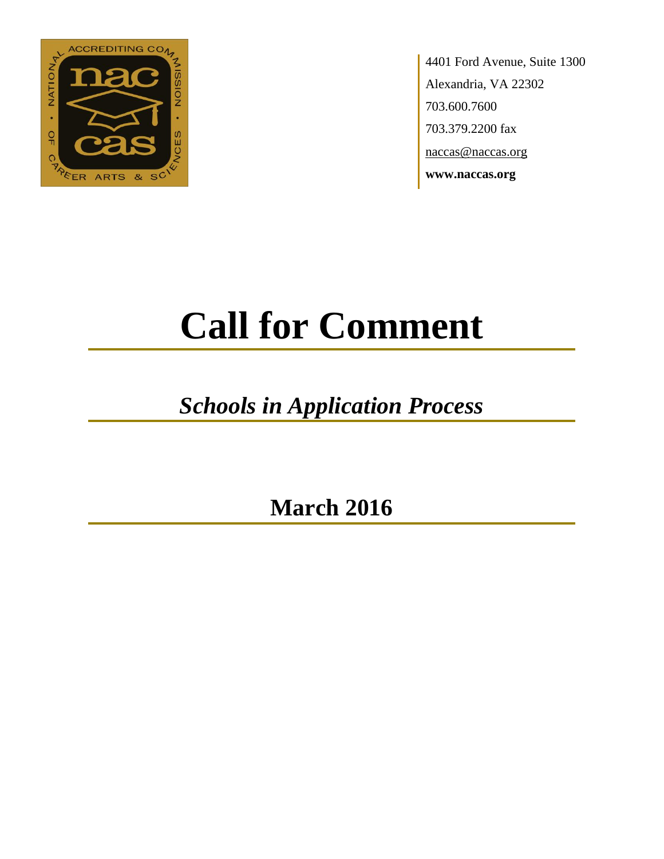

4401 Ford Avenue, Suite 1300 Alexandria, VA 22302 703.600.7600 703.379.2200 fax naccas@naccas.org **www.naccas.org**

# **Call for Comment**

## *Schools in Application Process*

**March 2016**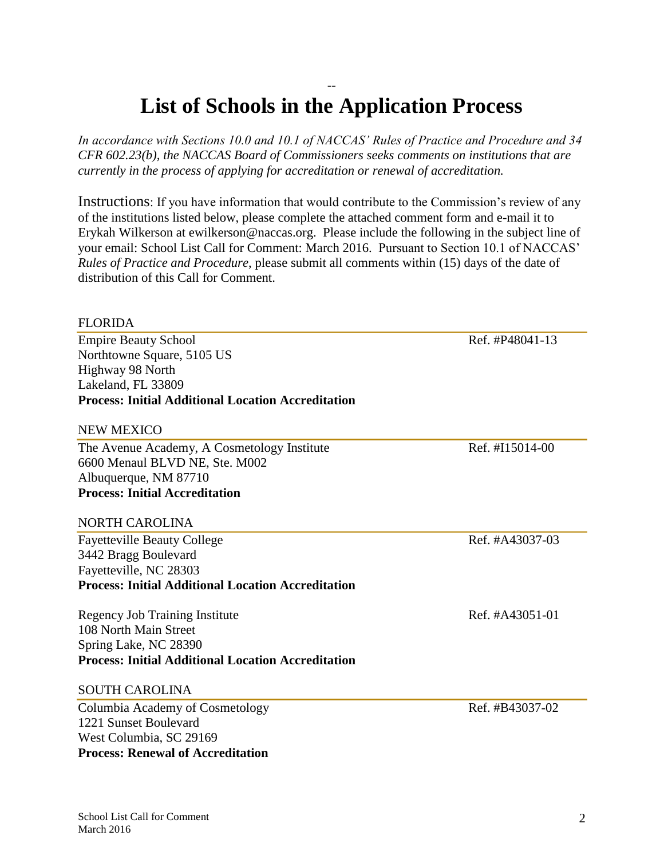## School List Call for Comment March 2016

### -- **List of Schools in the Application Process**

*In accordance with Sections 10.0 and 10.1 of NACCAS' Rules of Practice and Procedure and 34 CFR 602.23(b), the NACCAS Board of Commissioners seeks comments on institutions that are currently in the process of applying for accreditation or renewal of accreditation.*

Instructions: If you have information that would contribute to the Commission's review of any of the institutions listed below, please complete the attached comment form and e-mail it to Erykah Wilkerson at ewilkerson@naccas.org. Please include the following in the subject line of your email: School List Call for Comment: March 2016. Pursuant to Section 10.1 of NACCAS' *Rules of Practice and Procedure*, please submit all comments within (15) days of the date of distribution of this Call for Comment.

#### FLORIDA

Empire Beauty School Ref. #P48041-13 Northtowne Square, 5105 US Highway 98 North Lakeland, FL 33809 **Process: Initial Additional Location Accreditation** 

#### NEW MEXICO

The Avenue Academy, A Cosmetology Institute Ref. #I15014-00 6600 Menaul BLVD NE, Ste. M002 Albuquerque, NM 87710 **Process: Initial Accreditation** 

#### NORTH CAROLINA

Fayetteville Beauty College Ref. #A43037-03 3442 Bragg Boulevard Fayetteville, NC 28303 **Process: Initial Additional Location Accreditation**

Regency Job Training Institute Ref. #A43051-01 108 North Main Street Spring Lake, NC 28390 **Process: Initial Additional Location Accreditation**

#### SOUTH CAROLINA

Columbia Academy of Cosmetology Ref. #B43037-02 1221 Sunset Boulevard West Columbia, SC 29169 **Process: Renewal of Accreditation**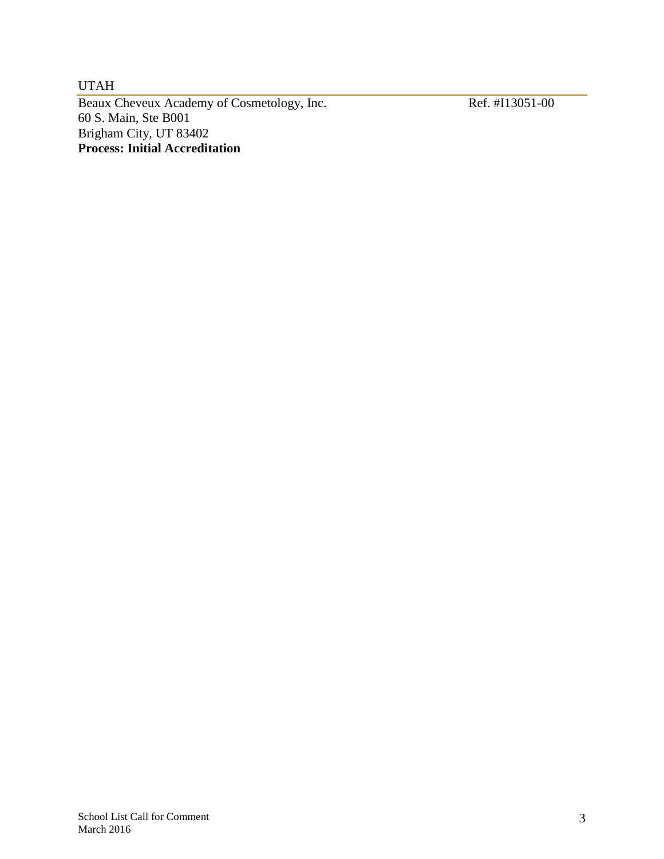UTAH

Beaux Cheveux Academy of Cosmetology, Inc. Ref. #I13051-00 60 S. Main, Ste B001 Brigham City, UT 83402 **Process: Initial Accreditation**